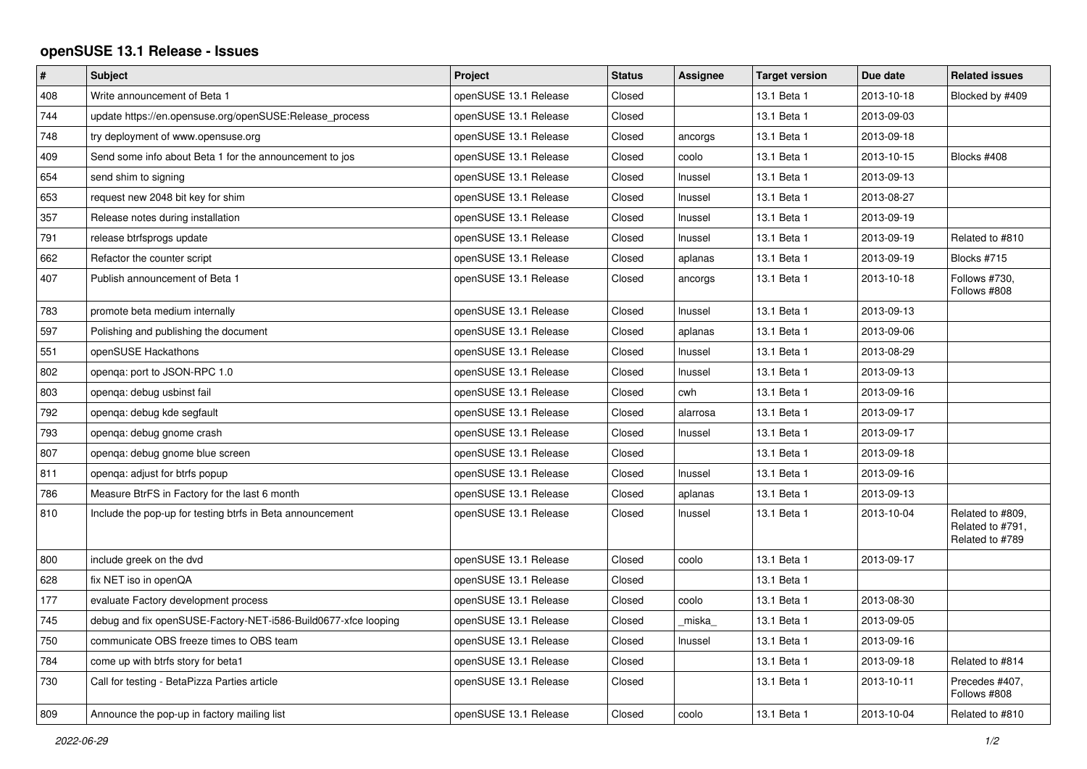## **openSUSE 13.1 Release - Issues**

| $\vert$ # | <b>Subject</b>                                                 | Project               | <b>Status</b> | Assignee | <b>Target version</b> | Due date   | <b>Related issues</b>                                   |
|-----------|----------------------------------------------------------------|-----------------------|---------------|----------|-----------------------|------------|---------------------------------------------------------|
| 408       | Write announcement of Beta 1                                   | openSUSE 13.1 Release | Closed        |          | 13.1 Beta 1           | 2013-10-18 | Blocked by #409                                         |
| 744       | update https://en.opensuse.org/openSUSE:Release_process        | openSUSE 13.1 Release | Closed        |          | 13.1 Beta 1           | 2013-09-03 |                                                         |
| 748       | try deployment of www.opensuse.org                             | openSUSE 13.1 Release | Closed        | ancorgs  | 13.1 Beta 1           | 2013-09-18 |                                                         |
| 409       | Send some info about Beta 1 for the announcement to jos        | openSUSE 13.1 Release | Closed        | coolo    | 13.1 Beta 1           | 2013-10-15 | Blocks #408                                             |
| 654       | send shim to signing                                           | openSUSE 13.1 Release | Closed        | Inussel  | 13.1 Beta 1           | 2013-09-13 |                                                         |
| 653       | request new 2048 bit key for shim                              | openSUSE 13.1 Release | Closed        | Inussel  | 13.1 Beta 1           | 2013-08-27 |                                                         |
| 357       | Release notes during installation                              | openSUSE 13.1 Release | Closed        | Inussel  | 13.1 Beta 1           | 2013-09-19 |                                                         |
| 791       | release btrfsprogs update                                      | openSUSE 13.1 Release | Closed        | Inussel  | 13.1 Beta 1           | 2013-09-19 | Related to #810                                         |
| 662       | Refactor the counter script                                    | openSUSE 13.1 Release | Closed        | aplanas  | 13.1 Beta 1           | 2013-09-19 | Blocks #715                                             |
| 407       | Publish announcement of Beta 1                                 | openSUSE 13.1 Release | Closed        | ancorgs  | 13.1 Beta 1           | 2013-10-18 | Follows #730,<br>Follows #808                           |
| 783       | promote beta medium internally                                 | openSUSE 13.1 Release | Closed        | Inussel  | 13.1 Beta 1           | 2013-09-13 |                                                         |
| 597       | Polishing and publishing the document                          | openSUSE 13.1 Release | Closed        | aplanas  | 13.1 Beta 1           | 2013-09-06 |                                                         |
| 551       | openSUSE Hackathons                                            | openSUSE 13.1 Release | Closed        | Inussel  | 13.1 Beta 1           | 2013-08-29 |                                                         |
| 802       | openga: port to JSON-RPC 1.0                                   | openSUSE 13.1 Release | Closed        | Inussel  | 13.1 Beta 1           | 2013-09-13 |                                                         |
| 803       | openqa: debug usbinst fail                                     | openSUSE 13.1 Release | Closed        | cwh      | 13.1 Beta 1           | 2013-09-16 |                                                         |
| 792       | openqa: debug kde segfault                                     | openSUSE 13.1 Release | Closed        | alarrosa | 13.1 Beta 1           | 2013-09-17 |                                                         |
| 793       | openqa: debug gnome crash                                      | openSUSE 13.1 Release | Closed        | Inussel  | 13.1 Beta 1           | 2013-09-17 |                                                         |
| 807       | openqa: debug gnome blue screen                                | openSUSE 13.1 Release | Closed        |          | 13.1 Beta 1           | 2013-09-18 |                                                         |
| 811       | openqa: adjust for btrfs popup                                 | openSUSE 13.1 Release | Closed        | Inussel  | 13.1 Beta 1           | 2013-09-16 |                                                         |
| 786       | Measure BtrFS in Factory for the last 6 month                  | openSUSE 13.1 Release | Closed        | aplanas  | 13.1 Beta 1           | 2013-09-13 |                                                         |
| 810       | Include the pop-up for testing btrfs in Beta announcement      | openSUSE 13.1 Release | Closed        | Inussel  | 13.1 Beta 1           | 2013-10-04 | Related to #809.<br>Related to #791,<br>Related to #789 |
| 800       | include greek on the dvd                                       | openSUSE 13.1 Release | Closed        | coolo    | 13.1 Beta 1           | 2013-09-17 |                                                         |
| 628       | fix NET iso in openQA                                          | openSUSE 13.1 Release | Closed        |          | 13.1 Beta 1           |            |                                                         |
| 177       | evaluate Factory development process                           | openSUSE 13.1 Release | Closed        | coolo    | 13.1 Beta 1           | 2013-08-30 |                                                         |
| 745       | debug and fix openSUSE-Factory-NET-i586-Build0677-xfce looping | openSUSE 13.1 Release | Closed        | miska    | 13.1 Beta 1           | 2013-09-05 |                                                         |
| 750       | communicate OBS freeze times to OBS team                       | openSUSE 13.1 Release | Closed        | Inussel  | 13.1 Beta 1           | 2013-09-16 |                                                         |
| 784       | come up with btrfs story for beta1                             | openSUSE 13.1 Release | Closed        |          | 13.1 Beta 1           | 2013-09-18 | Related to #814                                         |
| 730       | Call for testing - BetaPizza Parties article                   | openSUSE 13.1 Release | Closed        |          | 13.1 Beta 1           | 2013-10-11 | Precedes #407,<br>Follows #808                          |
| 809       | Announce the pop-up in factory mailing list                    | openSUSE 13.1 Release | Closed        | coolo    | 13.1 Beta 1           | 2013-10-04 | Related to #810                                         |